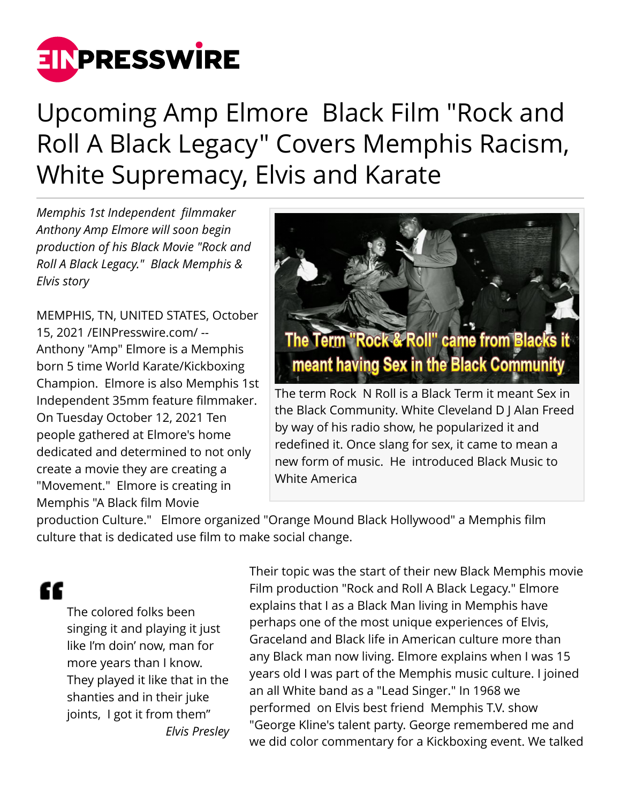

## Upcoming Amp Elmore Black Film "Rock and Roll A Black Legacy" Covers Memphis Racism, White Supremacy, Elvis and Karate

*Memphis 1st Independent filmmaker Anthony Amp Elmore will soon begin production of his Black Movie "Rock and Roll A Black Legacy." Black Memphis & Elvis story*

MEMPHIS, TN, UNITED STATES, October 15, 2021 /[EINPresswire.com/](http://www.einpresswire.com) -- Anthony "Amp" Elmore is a Memphis born 5 time World Karate/Kickboxing Champion. Elmore is also Memphis 1st Independent 35mm feature filmmaker. On Tuesday October 12, 2021 Ten people gathered at Elmore's home dedicated and determined to not only create a movie they are creating a "Movement." Elmore is creating in Memphis "A Black film Movie



redefined it. Once slang for sex, it came to mean a new form of music. He introduced Black Music to White America

production Culture." Elmore organized "Orange Mound Black Hollywood" a Memphis film culture that is dedicated use film to make social change.

## æ

The colored folks been singing it and playing it just like I'm doin' now, man for more years than I know. They played it like that in the shanties and in their juke joints, I got it from them" *Elvis Presley*

Their topic was the start of their new Black Memphis movie Film production "Rock and Roll A Black Legacy." Elmore explains that I as a Black Man living in Memphis have perhaps one of the most unique experiences of Elvis, Graceland and Black life in American culture more than any Black man now living. Elmore explains when I was 15 years old I was part of the Memphis music culture. I joined an all White band as a "Lead Singer." In 1968 we performed on Elvis best friend Memphis T.V. show "George Kline's talent party. George remembered me and we did color commentary for a Kickboxing event. We talked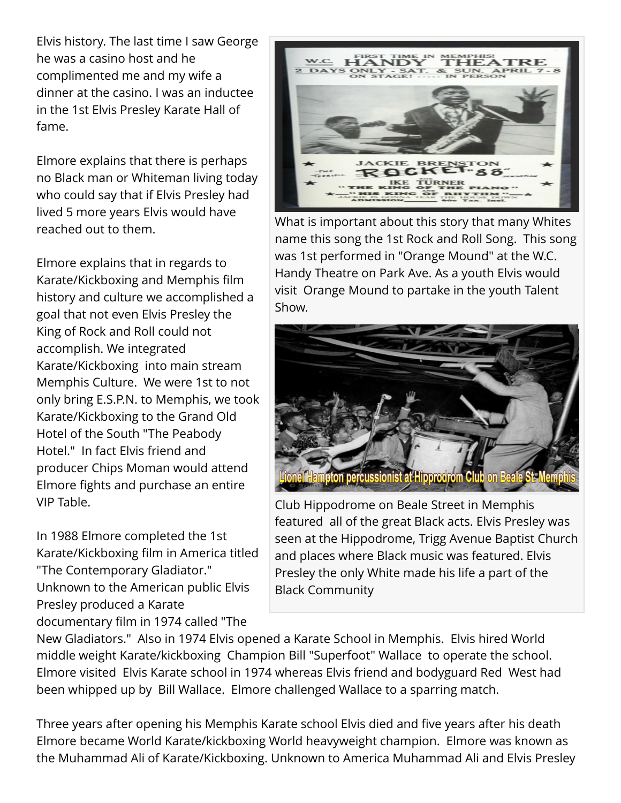Elvis history. The last time I saw George he was a casino host and he complimented me and my wife a dinner at the casino. I was an inductee in the 1st Elvis Presley Karate Hall of fame.

Elmore explains that there is perhaps no Black man or Whiteman living today who could say that if Elvis Presley had lived 5 more years Elvis would have reached out to them.

Elmore explains that in regards to Karate/Kickboxing and Memphis film history and culture we accomplished a goal that not even Elvis Presley the King of Rock and Roll could not accomplish. We integrated Karate/Kickboxing into main stream Memphis Culture. We were 1st to not only bring E.S.P.N. to Memphis, we took Karate/Kickboxing to the Grand Old Hotel of the South "The Peabody Hotel." In fact Elvis friend and producer Chips Moman would attend Elmore fights and purchase an entire VIP Table.

In 1988 Elmore completed the 1st Karate/Kickboxing film in America titled "The Contemporary Gladiator." Unknown to the American public Elvis Presley produced a Karate documentary film in 1974 called "The



What is important about this story that many Whites name this song the 1st Rock and Roll Song. This song was 1st performed in "Orange Mound" at the W.C. Handy Theatre on Park Ave. As a youth Elvis would visit Orange Mound to partake in the youth Talent Show.



Club Hippodrome on Beale Street in Memphis featured all of the great Black acts. Elvis Presley was seen at the Hippodrome, Trigg Avenue Baptist Church and places where Black music was featured. Elvis Presley the only White made his life a part of the Black Community

New Gladiators." Also in 1974 Elvis opened a Karate School in Memphis. Elvis hired World middle weight Karate/kickboxing Champion Bill "Superfoot" Wallace to operate the school. Elmore visited Elvis Karate school in 1974 whereas Elvis friend and bodyguard Red West had been whipped up by Bill Wallace. Elmore challenged Wallace to a sparring match.

Three years after opening his Memphis Karate school Elvis died and five years after his death Elmore became World Karate/kickboxing World heavyweight champion. Elmore was known as the Muhammad Ali of Karate/Kickboxing. Unknown to America Muhammad Ali and Elvis Presley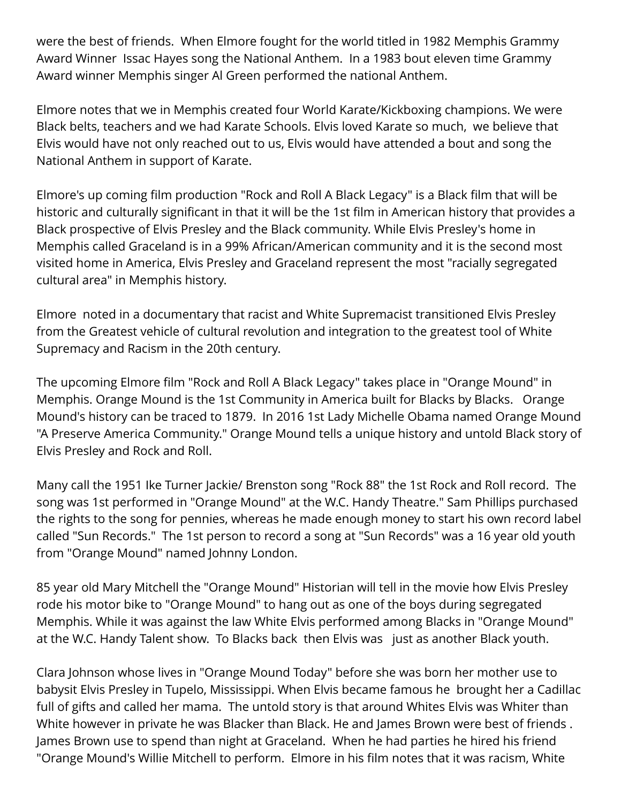were the best of friends. When Elmore fought for the world titled in 1982 Memphis Grammy Award Winner Issac Hayes song the National Anthem. In a 1983 bout eleven time Grammy Award winner Memphis singer Al Green performed the national Anthem.

Elmore notes that we in Memphis created four World Karate/Kickboxing champions. We were Black belts, teachers and we had Karate Schools. Elvis loved Karate so much, we believe that Elvis would have not only reached out to us, Elvis would have attended a bout and song the National Anthem in support of Karate.

Elmore's up coming film production "Rock and Roll A Black Legacy" is a Black film that will be historic and culturally significant in that it will be the 1st film in American history that provides a Black prospective of Elvis Presley and the Black community. While Elvis Presley's home in Memphis called Graceland is in a 99% African/American community and it is the second most visited home in America, Elvis Presley and Graceland represent the most "racially segregated cultural area" in Memphis history.

Elmore noted in a documentary that racist and White Supremacist transitioned Elvis Presley from the Greatest vehicle of cultural revolution and integration to the greatest tool of White Supremacy and Racism in the 20th century.

The upcoming Elmore film "Rock and Roll A Black Legacy" takes place in "Orange Mound" in Memphis. Orange Mound is the 1st Community in America built for Blacks by Blacks. Orange Mound's history can be traced to 1879. In 2016 1st Lady Michelle Obama named Orange Mound "A Preserve America Community." Orange Mound tells a unique history and untold Black story of Elvis Presley and Rock and Roll.

Many call the 1951 Ike Turner Jackie/ Brenston song "Rock 88" the 1st Rock and Roll record. The song was 1st performed in "Orange Mound" at the W.C. Handy Theatre." Sam Phillips purchased the rights to the song for pennies, whereas he made enough money to start his own record label called "Sun Records." The 1st person to record a song at "Sun Records" was a 16 year old youth from "Orange Mound" named Johnny London.

85 year old Mary Mitchell the "Orange Mound" Historian will tell in the movie how Elvis Presley rode his motor bike to "Orange Mound" to hang out as one of the boys during segregated Memphis. While it was against the law White Elvis performed among Blacks in "Orange Mound" at the W.C. Handy Talent show. To Blacks back then Elvis was just as another Black youth.

Clara Johnson whose lives in "Orange Mound Today" before she was born her mother use to babysit Elvis Presley in Tupelo, Mississippi. When Elvis became famous he brought her a Cadillac full of gifts and called her mama. The untold story is that around Whites Elvis was Whiter than White however in private he was Blacker than Black. He and James Brown were best of friends . James Brown use to spend than night at Graceland. When he had parties he hired his friend "Orange Mound's Willie Mitchell to perform. Elmore in his film notes that it was racism, White